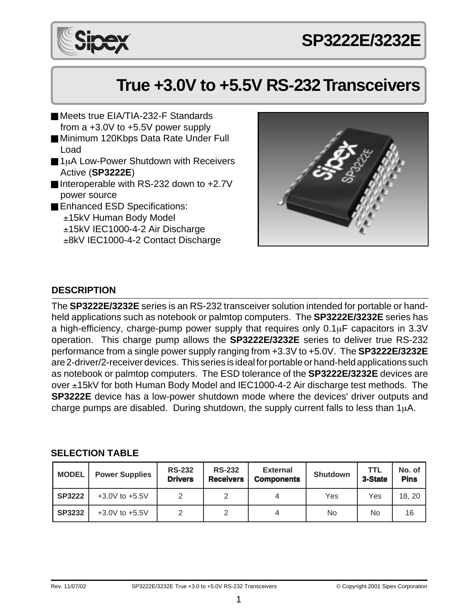

# **True +3.0V to +5.5V RS-232 Transceivers**

- Meets true FIA/TIA-232-F Standards from a +3.0V to +5.5V power supply
- Minimum 120Kbps Data Rate Under Full Load
- 1µA Low-Power Shutdown with Receivers Active (**SP3222E**)
- Interoperable with RS-232 down to +2.7V power source
- Enhanced ESD Specifications: ±15kV Human Body Model ±15kV IEC1000-4-2 Air Discharge ±8kV IEC1000-4-2 Contact Discharge



### **DESCRIPTION**

The **SP3222E/3232E** series is an RS-232 transceiver solution intended for portable or handheld applications such as notebook or palmtop computers. The **SP3222E/3232E** series has a high-efficiency, charge-pump power supply that requires only 0.1µF capacitors in 3.3V operation. This charge pump allows the **SP3222E/3232E** series to deliver true RS-232 performance from a single power supply ranging from +3.3V to +5.0V. The **SP3222E/3232E** are 2-driver/2-receiver devices. This series is ideal for portable or hand-held applications such as notebook or palmtop computers. The ESD tolerance of the **SP3222E/3232E** devices are over ±15kV for both Human Body Model and IEC1000-4-2 Air discharge test methods. The **SP3222E** device has a low-power shutdown mode where the devices' driver outputs and charge pumps are disabled. During shutdown, the supply current falls to less than  $1\mu$ A.

#### **SELECTION TABLE**

| <b>MODEL</b>  | <b>Power Supplies</b> | <b>RS-232</b><br><b>Drivers</b> | <b>RS-232</b><br><b>Receivers</b> | <b>External</b><br><b>Components</b> | <b>Shutdown</b> | <b>TTL</b><br>3-State | No. of<br><b>Pins</b> |
|---------------|-----------------------|---------------------------------|-----------------------------------|--------------------------------------|-----------------|-----------------------|-----------------------|
| <b>SP3222</b> | $+3.0V$ to $+5.5V$    |                                 |                                   |                                      | Yes             | Yes                   | 18, 20                |
| <b>SP3232</b> | $+3.0V$ to $+5.5V$    |                                 |                                   |                                      | No              | No                    | 16                    |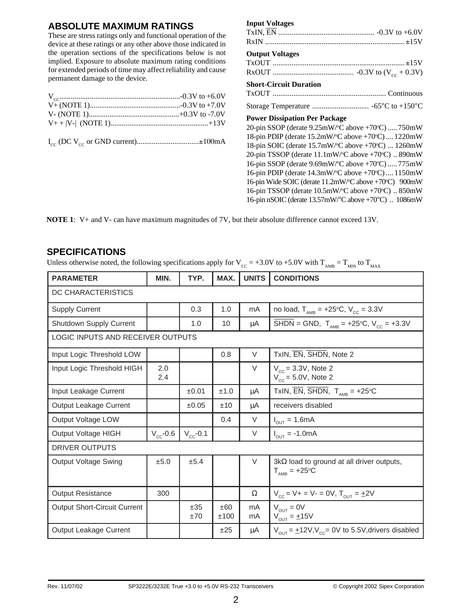#### **ABSOLUTE MAXIMUM RATINGS**

These are stress ratings only and functional operation of the device at these ratings or any other above those indicated in the operation sections of the specifications below is not implied. Exposure to absolute maximum rating conditions for extended periods of time may affect reliability and cause permanent damage to the device.

|  |  |  | $I_{cc}$ (DC V <sub>cc</sub> or GND current)±100mA |
|--|--|--|----------------------------------------------------|
|--|--|--|----------------------------------------------------|

#### **Input Voltages**

#### **Output Voltages**

#### **Short-Circuit Duration**

#### **Power Dissipation Per Package**

20-pin SSOP (derate 9.25mW/°C above +70°C) ..... 750mW 18-pin PDIP (derate 15.2mW/°C above +70°C).... 1220mW 18-pin SOIC (derate 15.7mW/°C above +70°C) ... 1260mW 20-pin TSSOP (derate 11.1mW/°C above +70°C) .. 890mW 16-pin SSOP (derate 9.69mW/°C above +70°C) ..... 775mW 16-pin PDIP (derate 14.3mW/°C above +70°C) .... 1150mW 16-pin Wide SOIC (derate 11.2mW/°C above +70°C) 900mW 16-pin TSSOP (derate 10.5mW/°C above +70°C) .. 850mW 16-pin nSOIC (derate 13.57mW/°C above +70°C) .. 1086mW

**NOTE 1**: V+ and V- can have maximum magnitudes of 7V, but their absolute difference cannot exceed 13V.

#### **SPECIFICATIONS**

Unless otherwise noted, the following specifications apply for  $V_{CC} = +3.0V$  to  $+5.0V$  with  $T_{AMB} = T_{MIN}$  to  $T_{MAX}$ 

| <b>PARAMETER</b>                    | MIN.          | TYP.          | MAX.        | <b>UNITS</b> | <b>CONDITIONS</b>                                                                                                               |  |
|-------------------------------------|---------------|---------------|-------------|--------------|---------------------------------------------------------------------------------------------------------------------------------|--|
| DC CHARACTERISTICS                  |               |               |             |              |                                                                                                                                 |  |
| Supply Current                      |               | 0.3           | 1.0         | mA           | no load, $T_{\text{AMB}} = +25^{\circ}C$ , $V_{\text{CC}} = 3.3V$                                                               |  |
| Shutdown Supply Current             |               | 1.0           | 10          | μA           | $\overline{\text{SHDN}} = \text{GND}, \ \mathsf{T}_{\text{AMB}} = +25^{\circ}\text{C}, \ \mathsf{V}_{\text{CC}} = +3.3\text{V}$ |  |
| LOGIC INPUTS AND RECEIVER OUTPUTS   |               |               |             |              |                                                                                                                                 |  |
| Input Logic Threshold LOW           |               |               | 0.8         | V            | TxIN, EN, SHDN, Note 2                                                                                                          |  |
| Input Logic Threshold HIGH          | 2.0<br>2.4    |               |             | $\vee$       | $V_{cc}$ = 3.3V, Note 2<br>$V_{cc}$ = 5.0V, Note 2                                                                              |  |
| Input Leakage Current               |               | ±0.01         | ±1.0        | μA           | TxIN, $\overline{EN}$ , $\overline{SHDN}$ , $T_{AMB} = +25^{\circ}C$                                                            |  |
| Output Leakage Current              |               | ±0.05         | ±10         | μA           | receivers disabled                                                                                                              |  |
| Output Voltage LOW                  |               |               | 0.4         | $\vee$       | $I_{\text{out}} = 1.6 \text{mA}$                                                                                                |  |
| Output Voltage HIGH                 | $V_{cc}$ -0.6 | $V_{cc}$ -0.1 |             | $\vee$       | $I_{OUT} = -1.0mA$                                                                                                              |  |
| <b>DRIVER OUTPUTS</b>               |               |               |             |              |                                                                                                                                 |  |
| Output Voltage Swing                | ±5.0          | ±5.4          |             | $\vee$       | $3k\Omega$ load to ground at all driver outputs,<br>$T_{\text{AMR}}$ = +25°C                                                    |  |
| <b>Output Resistance</b>            | 300           |               |             | $\Omega$     | $V_{cc} = V + = V - = 0V$ , $T_{OUT} = \pm 2V$                                                                                  |  |
| <b>Output Short-Circuit Current</b> |               | ±35<br>±70    | ±60<br>±100 | mA<br>mA     | $V_{OUT} = 0V$<br>$V_{\text{out}} = \pm 15V$                                                                                    |  |
| <b>Output Leakage Current</b>       |               |               | ±25         | μA           | $V_{\text{OUT}} = \pm 12V$ , $V_{\text{cc}} = 0V$ to 5.5V, drivers disabled                                                     |  |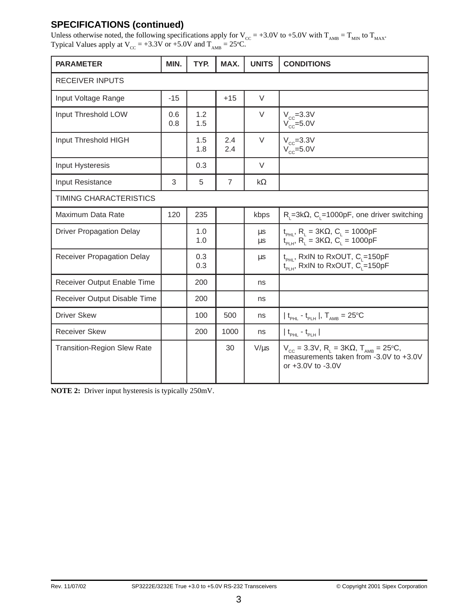### **SPECIFICATIONS (continued)**

Unless otherwise noted, the following specifications apply for  $V_{CC} = +3.0V$  to  $+5.0V$  with  $T_{AMB} = T_{MIN}$  to  $T_{MAX}$ . Typical Values apply at  $V_{\text{CC}} = +3.3V$  or  $+5.0V$  and  $T_{\text{AMB}} = 25^{\circ}\text{C}$ .

| <b>PARAMETER</b>                   | MIN.       | TYP.       | MAX.           | <b>UNITS</b>       | <b>CONDITIONS</b>                                                                                                                         |
|------------------------------------|------------|------------|----------------|--------------------|-------------------------------------------------------------------------------------------------------------------------------------------|
| <b>RECEIVER INPUTS</b>             |            |            |                |                    |                                                                                                                                           |
| Input Voltage Range                | $-15$      |            | $+15$          | $\vee$             |                                                                                                                                           |
| Input Threshold LOW                | 0.6<br>0.8 | 1.2<br>1.5 |                | $\vee$             | $V_{cc} = 3.3V$<br>$V_{cc}$ =5.0V                                                                                                         |
| Input Threshold HIGH               |            | 1.5<br>1.8 | 2.4<br>2.4     | V                  | $V_{cc} = 3.3V$<br>$V_{\rm cc}$ =5.0V                                                                                                     |
| Input Hysteresis                   |            | 0.3        |                | $\vee$             |                                                                                                                                           |
| <b>Input Resistance</b>            | 3          | 5          | $\overline{7}$ | $k\Omega$          |                                                                                                                                           |
| TIMING CHARACTERISTICS             |            |            |                |                    |                                                                                                                                           |
| Maximum Data Rate                  | 120        | 235        |                | kbps               | $R_i = 3k\Omega$ , C <sub>i</sub> =1000pF, one driver switching                                                                           |
| <b>Driver Propagation Delay</b>    |            | 1.0<br>1.0 |                | $\mu$ s<br>$\mu$ s | $t_{PHL}$ , R <sub>L</sub> = 3KΩ, C <sub>L</sub> = 1000pF<br>$t_{PLH}$ , R <sub>L</sub> = 3KΩ, C <sub>L</sub> = 1000pF                    |
| <b>Receiver Propagation Delay</b>  |            | 0.3<br>0.3 |                | μs                 | t <sub>PHL</sub> , RxIN to RxOUT, C <sub>L</sub> =150pF<br>$t_{\text{PLH}}$ , RxIN to RxOUT, C <sub>1</sub> =150pF                        |
| Receiver Output Enable Time        |            | 200        |                | ns                 |                                                                                                                                           |
| Receiver Output Disable Time       |            | 200        |                | ns                 |                                                                                                                                           |
| <b>Driver Skew</b>                 |            | 100        | 500            | ns                 | $ t_{\text{PHL}} - t_{\text{PLH}} $ , $T_{\text{AMB}} = 25^{\circ}\text{C}$                                                               |
| <b>Receiver Skew</b>               |            | 200        | 1000           | ns                 | $ t_{\text{pH}} - t_{\text{pH}} $                                                                                                         |
| <b>Transition-Region Slew Rate</b> |            |            | 30             | $V/\mu s$          | $V_{\text{cc}}$ = 3.3V, R <sub>L</sub> = 3KΩ, T <sub>AMB</sub> = 25°C,<br>measurements taken from -3.0V to +3.0V<br>or $+3.0V$ to $-3.0V$ |

**NOTE 2:** Driver input hysteresis is typically 250mV.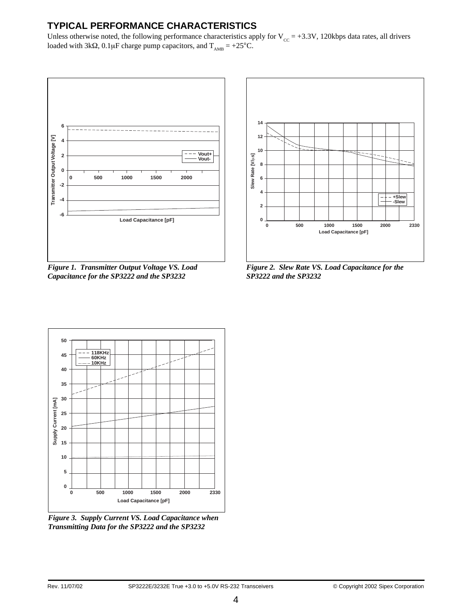### **TYPICAL PERFORMANCE CHARACTERISTICS**

Unless otherwise noted, the following performance characteristics apply for  $V_{cc} = +3.3V$ , 120kbps data rates, all drivers loaded with 3kΩ, 0.1µF charge pump capacitors, and  $T_{AMB} = +25^{\circ}C$ .



*Figure 1. Transmitter Output Voltage VS. Load Capacitance for the SP3222 and the SP3232*



*Figure 2. Slew Rate VS. Load Capacitance for the SP3222 and the SP3232*



*Figure 3. Supply Current VS. Load Capacitance when Transmitting Data for the SP3222 and the SP3232*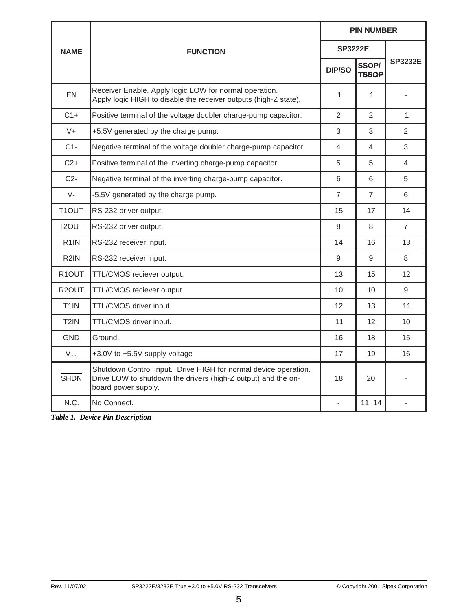|                    |                                                                                                                                                         | <b>PIN NUMBER</b> |                       |                |  |
|--------------------|---------------------------------------------------------------------------------------------------------------------------------------------------------|-------------------|-----------------------|----------------|--|
| <b>NAME</b>        | <b>FUNCTION</b>                                                                                                                                         | <b>SP3222E</b>    |                       |                |  |
|                    |                                                                                                                                                         | DIP/SO            | SSOP/<br><b>TSSOP</b> | <b>SP3232E</b> |  |
| EN                 | Receiver Enable. Apply logic LOW for normal operation.<br>Apply logic HIGH to disable the receiver outputs (high-Z state).                              | 1                 | 1                     |                |  |
| $C1+$              | Positive terminal of the voltage doubler charge-pump capacitor.                                                                                         | 2                 | 2                     | 1              |  |
| $V +$              | +5.5V generated by the charge pump.                                                                                                                     | 3                 | 3                     | 2              |  |
| $C1-$              | Negative terminal of the voltage doubler charge-pump capacitor.                                                                                         | 4                 | 4                     | 3              |  |
| $C2+$              | Positive terminal of the inverting charge-pump capacitor.                                                                                               | 5                 | 5                     | 4              |  |
| $C2-$              | Negative terminal of the inverting charge-pump capacitor.                                                                                               | 6                 | 6                     | 5              |  |
| $V -$              | -5.5V generated by the charge pump.                                                                                                                     | $\overline{7}$    | $\overline{7}$        | 6              |  |
| T1OUT              | RS-232 driver output.                                                                                                                                   | 15                | 17                    | 14             |  |
| T2OUT              | RS-232 driver output.                                                                                                                                   | 8                 | 8                     | $\overline{7}$ |  |
| R <sub>1</sub> IN  | RS-232 receiver input.                                                                                                                                  | 14                | 16                    | 13             |  |
| R <sub>2</sub> IN  | RS-232 receiver input.                                                                                                                                  | 9                 | 9                     | 8              |  |
| R <sub>1</sub> OUT | TTL/CMOS reciever output.                                                                                                                               | 13                | 15                    | 12             |  |
| R <sub>2</sub> OUT | TTL/CMOS reciever output.                                                                                                                               | 10                | 10                    | 9              |  |
| T <sub>1</sub> IN  | TTL/CMOS driver input.                                                                                                                                  | 12                | 13                    | 11             |  |
| T <sub>2</sub> IN  | TTL/CMOS driver input.                                                                                                                                  | 11                | 12                    | 10             |  |
| <b>GND</b>         | Ground.                                                                                                                                                 | 16                | 18                    | 15             |  |
| $V_{\rm cc}$       | +3.0V to +5.5V supply voltage                                                                                                                           | 17                | 19                    | 16             |  |
| <b>SHDN</b>        | Shutdown Control Input. Drive HIGH for normal device operation.<br>Drive LOW to shutdown the drivers (high-Z output) and the on-<br>board power supply. | 18                | 20                    |                |  |
| N.C.               | No Connect.                                                                                                                                             | $\blacksquare$    | 11, 14                |                |  |

*Table 1. Device Pin Description*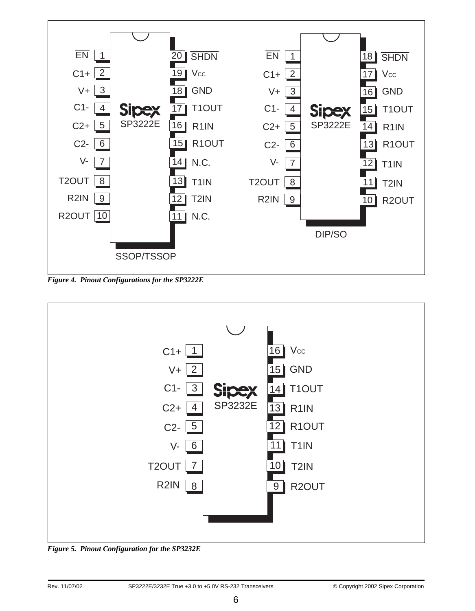

*Figure 4. Pinout Configurations for the SP3222E*



*Figure 5. Pinout Configuration for the SP3232E*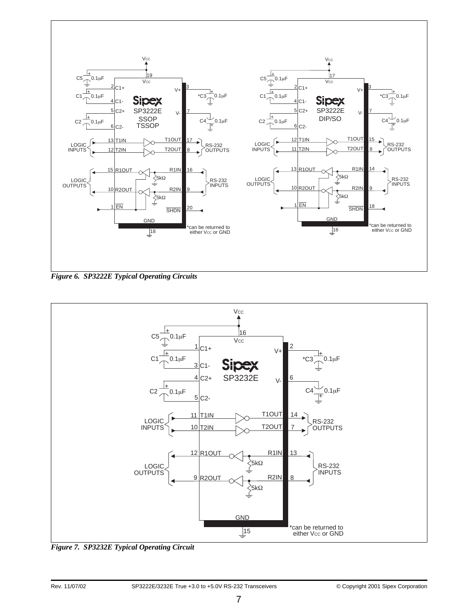

*Figure 6. SP3222E Typical Operating Circuits*



*Figure 7. SP3232E Typical Operating Circuit*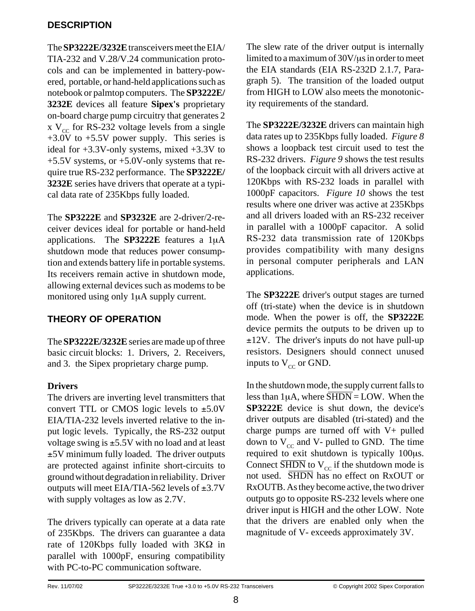#### **DESCRIPTION**

The **SP3222E/3232E**transceivers meet the EIA/ TIA-232 and V.28/V.24 communication protocols and can be implemented in battery-powered, portable, or hand-held applications such as notebook or palmtop computers. The **SP3222E/ 3232E** devices all feature **Sipex's** proprietary on-board charge pump circuitry that generates 2 x  $V_{cc}$  for RS-232 voltage levels from a single +3.0V to +5.5V power supply. This series is ideal for +3.3V-only systems, mixed +3.3V to +5.5V systems, or +5.0V-only systems that require true RS-232 performance. The **SP3222E/ 3232E** series have drivers that operate at a typical data rate of 235Kbps fully loaded.

The **SP3222E** and **SP3232E** are 2-driver/2-receiver devices ideal for portable or hand-held applications. The **SP3222E** features a 1µA shutdown mode that reduces power consumption and extends battery life in portable systems. Its receivers remain active in shutdown mode, allowing external devices such as modems to be monitored using only 1µA supply current.

### **THEORY OF OPERATION**

The **SP3222E/3232E** series are made up of three basic circuit blocks: 1. Drivers, 2. Receivers, and 3. the Sipex proprietary charge pump.

### **Drivers**

The drivers are inverting level transmitters that convert TTL or CMOS logic levels to  $\pm$ 5.0V EIA/TIA-232 levels inverted relative to the input logic levels. Typically, the RS-232 output voltage swing is  $\pm$ 5.5V with no load and at least ±5V minimum fully loaded. The driver outputs are protected against infinite short-circuits to ground without degradation in reliability. Driver outputs will meet EIA/TIA-562 levels of ±3.7V with supply voltages as low as 2.7V.

The drivers typically can operate at a data rate of 235Kbps. The drivers can guarantee a data rate of 120Kbps fully loaded with 3KΩ in parallel with 1000pF, ensuring compatibility with PC-to-PC communication software.

The slew rate of the driver output is internally limited to a maximum of 30V/µs in order to meet the EIA standards (EIA RS-232D 2.1.7, Paragraph 5). The transition of the loaded output from HIGH to LOW also meets the monotonicity requirements of the standard.

The **SP3222E/3232E** drivers can maintain high data rates up to 235Kbps fully loaded. *Figure 8* shows a loopback test circuit used to test the RS-232 drivers. *Figure 9* shows the test results of the loopback circuit with all drivers active at 120Kbps with RS-232 loads in parallel with 1000pF capacitors. *Figure 10* shows the test results where one driver was active at 235Kbps and all drivers loaded with an RS-232 receiver in parallel with a 1000pF capacitor. A solid RS-232 data transmission rate of 120Kbps provides compatibility with many designs in personal computer peripherals and LAN applications.

The **SP3222E** driver's output stages are turned off (tri-state) when the device is in shutdown mode. When the power is off, the **SP3222E** device permits the outputs to be driven up to  $\pm 12V$ . The driver's inputs do not have pull-up resistors. Designers should connect unused inputs to  $V_{cc}$  or GND.

In the shutdown mode, the supply current falls to less than  $1\mu$ A, where  $\overline{\text{SHDN}} = \text{LOW}$ . When the **SP3222E** device is shut down, the device's driver outputs are disabled (tri-stated) and the charge pumps are turned off with V+ pulled down to  $V_{cc}$  and V- pulled to GND. The time required to exit shutdown is typically 100µs. Connect  $\overline{\text{SHDN}}$  to  $V_{\text{cc}}$  if the shutdown mode is not used. SHDN has no effect on RxOUT or RxOUTB. As they become active, the two driver outputs go to opposite RS-232 levels where one driver input is HIGH and the other LOW. Note that the drivers are enabled only when the magnitude of V- exceeds approximately 3V.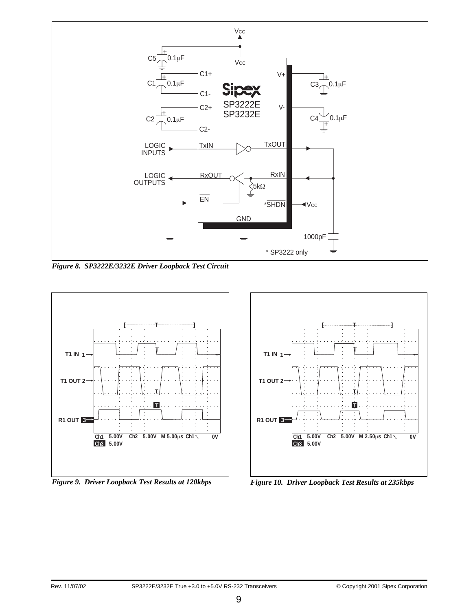

*Figure 8. SP3222E/3232E Driver Loopback Test Circuit*



*Figure 9. Driver Loopback Test Results at 120kbps Figure 10. Driver Loopback Test Results at 235kbps*

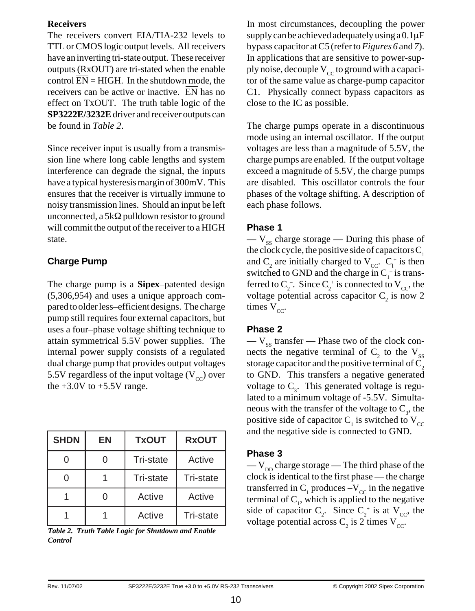#### **Receivers**

The receivers convert EIA/TIA-232 levels to TTL or CMOS logic output levels. All receivers have an inverting tri-state output. These receiver outputs (RxOUT) are tri-stated when the enable control  $EN = HIGH$ . In the shutdown mode, the receivers can be active or inactive. EN has no effect on TxOUT. The truth table logic of the **SP3222E/3232E**driver and receiver outputs can be found in *Table 2*.

Since receiver input is usually from a transmission line where long cable lengths and system interference can degrade the signal, the inputs have a typical hysteresis margin of 300mV. This ensures that the receiver is virtually immune to noisy transmission lines. Should an input be left unconnected, a 5kΩ pulldown resistor to ground will commit the output of the receiver to a HIGH state.

### **Charge Pump**

The charge pump is a **Sipex**–patented design (5,306,954) and uses a unique approach compared to older less–efficient designs. The charge pump still requires four external capacitors, but uses a four–phase voltage shifting technique to attain symmetrical 5.5V power supplies. The internal power supply consists of a regulated dual charge pump that provides output voltages 5.5V regardless of the input voltage  $(V_{cc})$  over the  $+3.0V$  to  $+5.5V$  range.

| <b>SHDN</b> | EN | <b>TxOUT</b> | <b>RxOUT</b> |
|-------------|----|--------------|--------------|
|             |    | Tri-state    | Active       |
|             |    | Tri-state    | Tri-state    |
|             |    | Active       | Active       |
|             |    | Active       | Tri-state    |

*Control*

In most circumstances, decoupling the power supply can be achieved adequately using a 0.1µF bypass capacitor at C5 (refer to *Figures 6* and *7*). In applications that are sensitive to power-supply noise, decouple  $V_{cc}$  to ground with a capacitor of the same value as charge-pump capacitor C1. Physically connect bypass capacitors as close to the IC as possible.

The charge pumps operate in a discontinuous mode using an internal oscillator. If the output voltages are less than a magnitude of 5.5V, the charge pumps are enabled. If the output voltage exceed a magnitude of 5.5V, the charge pumps are disabled. This oscillator controls the four phases of the voltage shifting. A description of each phase follows.

#### **Phase 1**

 $-$  V<sub>ss</sub> charge storage — During this phase of the clock cycle, the positive side of capacitors  $C_1$ and  $C_2$  are initially charged to  $V_{CC}$ .  $C_1^+$  is then switched to GND and the charge in  $C_1^-$  is transferred to  $C_2^-$ . Since  $C_2^+$  is connected to  $V_{CC}$ , the voltage potential across capacitor  $C<sub>2</sub>$  is now 2 times  $V_{cc}$ .

### **Phase 2**

 $-V_{ss}$  transfer — Phase two of the clock connects the negative terminal of  $C_2$  to the  $V_{ss}$ storage capacitor and the positive terminal of  $C_2$ to GND. This transfers a negative generated voltage to  $C_3$ . This generated voltage is regulated to a minimum voltage of -5.5V. Simultaneous with the transfer of the voltage to  $C_3$ , the positive side of capacitor  $C_1$  is switched to  $V_{CC}$ and the negative side is connected to GND.

### **Phase 3**

—  $V_{DD}$  charge storage — The third phase of the clock is identical to the first phase — the charge transferred in  $C_1$  produces  $-V_{cc}$  in the negative terminal of  $C_1$ , which is applied to the negative side of capacitor  $C_2$ . Since  $C_2^+$  is at  $V_{CC}$ , the  $V_{\text{c}}$  is 2 times  $V_{\text{c}}$ . Truth Table Logic for Shutdown and Enable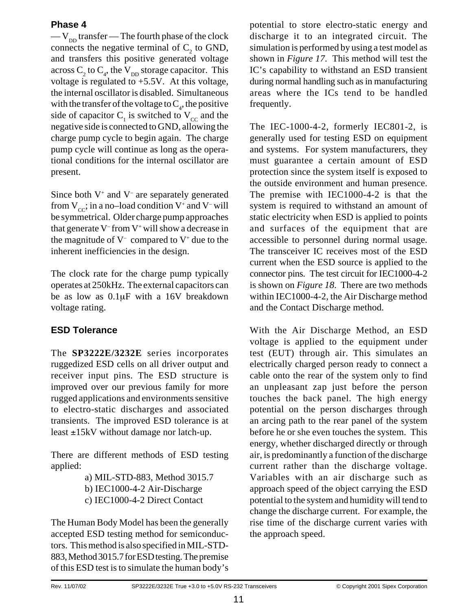#### **Phase 4**

 $-V_{\text{DD}}$  transfer — The fourth phase of the clock connects the negative terminal of  $C<sub>2</sub>$  to GND, and transfers this positive generated voltage across  $C_2$  to  $C_4$ , the  $V_{DD}$  storage capacitor. This voltage is regulated to  $+5.5V$ . At this voltage, the internal oscillator is disabled. Simultaneous with the transfer of the voltage to  $C_4$ , the positive side of capacitor  $C<sub>1</sub>$  is switched to  $V<sub>CC</sub>$  and the negative side is connected to GND, allowing the charge pump cycle to begin again. The charge pump cycle will continue as long as the operational conditions for the internal oscillator are present.

Since both  $V^+$  and  $V^-$  are separately generated from  $V_{cc}$ ; in a no–load condition  $V^+$  and  $V^-$  will be symmetrical. Older charge pump approaches that generate  $V$ <sup>-</sup> from  $V$ <sup>+</sup> will show a decrease in the magnitude of  $V^-$  compared to  $V^+$  due to the inherent inefficiencies in the design.

The clock rate for the charge pump typically operates at 250kHz. The external capacitors can be as low as 0.1µF with a 16V breakdown voltage rating.

### **ESD Tolerance**

The **SP3222E/3232E** series incorporates ruggedized ESD cells on all driver output and receiver input pins. The ESD structure is improved over our previous family for more rugged applications and environments sensitive to electro-static discharges and associated transients. The improved ESD tolerance is at least ±15kV without damage nor latch-up.

There are different methods of ESD testing applied:

> a) MIL-STD-883, Method 3015.7 b) IEC1000-4-2 Air-Discharge c) IEC1000-4-2 Direct Contact

The Human Body Model has been the generally accepted ESD testing method for semiconductors. This method is also specified in MIL-STD-883, Method 3015.7 for ESD testing. The premise of this ESD test is to simulate the human body's potential to store electro-static energy and discharge it to an integrated circuit. The simulation is performed by using a test model as shown in *Figure 17*. This method will test the IC's capability to withstand an ESD transient during normal handling such as in manufacturing areas where the ICs tend to be handled frequently.

The IEC-1000-4-2, formerly IEC801-2, is generally used for testing ESD on equipment and systems. For system manufacturers, they must guarantee a certain amount of ESD protection since the system itself is exposed to the outside environment and human presence. The premise with IEC1000-4-2 is that the system is required to withstand an amount of static electricity when ESD is applied to points and surfaces of the equipment that are accessible to personnel during normal usage. The transceiver IC receives most of the ESD current when the ESD source is applied to the connector pins. The test circuit for IEC1000-4-2 is shown on *Figure 18*. There are two methods within IEC1000-4-2, the Air Discharge method and the Contact Discharge method.

With the Air Discharge Method, an ESD voltage is applied to the equipment under test (EUT) through air. This simulates an electrically charged person ready to connect a cable onto the rear of the system only to find an unpleasant zap just before the person touches the back panel. The high energy potential on the person discharges through an arcing path to the rear panel of the system before he or she even touches the system. This energy, whether discharged directly or through air, is predominantly a function of the discharge current rather than the discharge voltage. Variables with an air discharge such as approach speed of the object carrying the ESD potential to the system and humidity will tend to change the discharge current. For example, the rise time of the discharge current varies with the approach speed.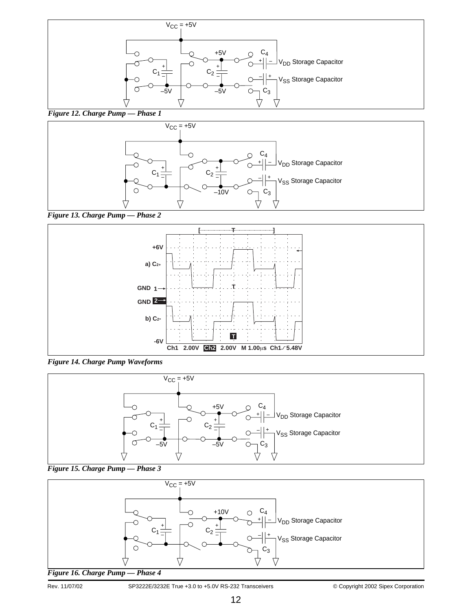

#### *Figure 12. Charge Pump — Phase 1*



*Figure 13. Charge Pump — Phase 2*



*Figure 14. Charge Pump Waveforms*





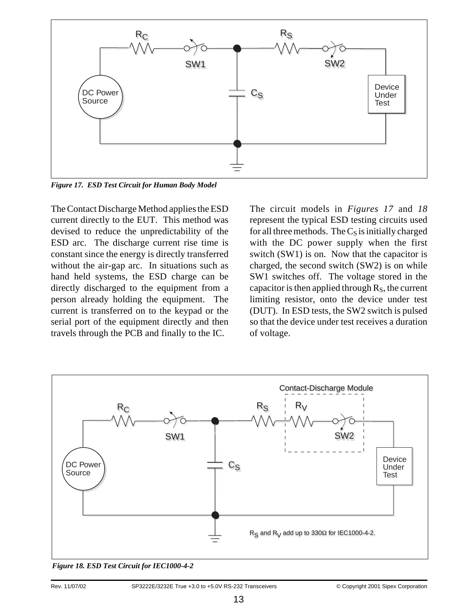

*Figure 17. ESD Test Circuit for Human Body Model*

The Contact Discharge Method applies the ESD current directly to the EUT. This method was devised to reduce the unpredictability of the ESD arc. The discharge current rise time is constant since the energy is directly transferred without the air-gap arc. In situations such as hand held systems, the ESD charge can be directly discharged to the equipment from a person already holding the equipment. The current is transferred on to the keypad or the serial port of the equipment directly and then travels through the PCB and finally to the IC.

The circuit models in *Figures 17* and *18* represent the typical ESD testing circuits used for all three methods. The  $C_S$  is initially charged with the DC power supply when the first switch (SW1) is on. Now that the capacitor is charged, the second switch (SW2) is on while SW1 switches off. The voltage stored in the capacitor is then applied through  $R<sub>S</sub>$ , the current limiting resistor, onto the device under test (DUT). In ESD tests, the SW2 switch is pulsed so that the device under test receives a duration of voltage.



*Figure 18. ESD Test Circuit for IEC1000-4-2*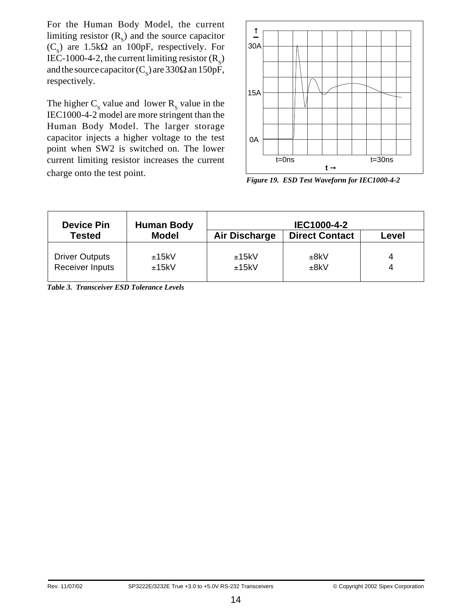For the Human Body Model, the current limiting resistor  $(R<sub>s</sub>)$  and the source capacitor  $(C_s)$  are 1.5k $\Omega$  an 100pF, respectively. For IEC-1000-4-2, the current limiting resistor  $(R<sub>s</sub>)$ and the source capacitor ( $C_s$ ) are 330 $\Omega$  an 150pF, respectively.

The higher  $C_s$  value and lower  $R_s$  value in the IEC1000-4-2 model are more stringent than the Human Body Model. The larger storage capacitor injects a higher voltage to the test point when SW2 is switched on. The lower current limiting resistor increases the current charge onto the test point.



*Figure 19. ESD Test Waveform for IEC1000-4-2*

| <b>Device Pin</b>                        | <b>Human Body</b> |                      | IEC1000-4-2           |        |
|------------------------------------------|-------------------|----------------------|-----------------------|--------|
| <b>Tested</b>                            | <b>Model</b>      | <b>Air Discharge</b> | <b>Direct Contact</b> | Level  |
| <b>Driver Outputs</b><br>Receiver Inputs | ±15kV<br>±15kV    | ±15kV<br>±15kV       | ±8kV<br>±8kV          | 4<br>4 |

*Table 3. Transceiver ESD Tolerance Levels*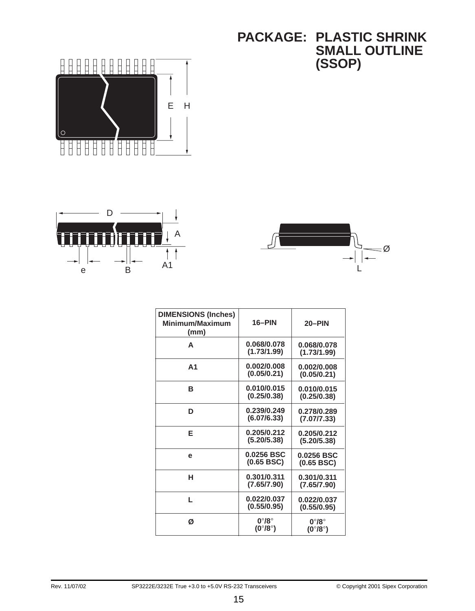# **PACKAGE: PLASTIC SHRINK SMALL OUTLINE (SSOP)**







| <b>DIMENSIONS (Inches)</b><br>Minimum/Maximum<br>(mm) | 16-PIN                                           | 20-PIN                                           |
|-------------------------------------------------------|--------------------------------------------------|--------------------------------------------------|
| A                                                     | 0.068/0.078<br>(1.73/1.99)                       | 0.068/0.078<br>(1.73/1.99)                       |
| A1                                                    | 0.002/0.008<br>(0.05/0.21)                       | 0.002/0.008<br>(0.05/0.21)                       |
| в                                                     | 0.010/0.015<br>(0.25/0.38)                       | 0.010/0.015<br>(0.25/0.38)                       |
| D                                                     | 0.239/0.249<br>(6.07/6.33)                       | 0.278/0.289<br>(7.07/7.33)                       |
| F                                                     | 0.205/0.212<br>(5.20/5.38)                       | 0.205/0.212<br>(5.20/5.38)                       |
| e                                                     | 0.0256 BSC<br>(0.65 BSC)                         | 0.0256 BSC<br>(0.65 BSC)                         |
| н                                                     | 0.301/0.311<br>(7.65/7.90)                       | 0.301/0.311<br>(7.65/7.90)                       |
| L.                                                    | 0.022/0.037<br>(0.55/0.95)                       | 0.022/0.037<br>(0.55/0.95)                       |
| Ø                                                     | $0^{\circ}/8^{\circ}$<br>$(0^{\circ}/8^{\circ})$ | $0^{\circ}/8^{\circ}$<br>$(0^{\circ}/8^{\circ})$ |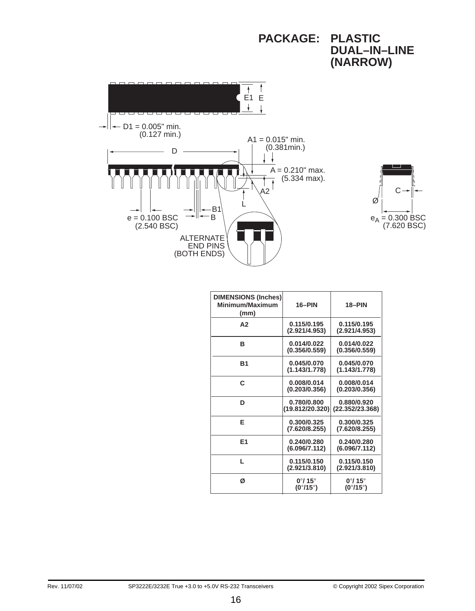

**PACKAGE: PLASTIC**

| <b>DIMENSIONS (Inches)</b><br>Minimum/Maximum<br>(mm) | 16-PIN                                                  | 18-PIN                                                  |
|-------------------------------------------------------|---------------------------------------------------------|---------------------------------------------------------|
| A2                                                    | 0.115/0.195<br>(2.921/4.953)                            | 0.115/0.195<br>(2.921/4.953)                            |
| в                                                     | 0.014/0.022<br>(0.356/0.559)                            | 0.014/0.022<br>(0.356/0.559)                            |
| B <sub>1</sub>                                        | 0.045/0.070<br>(1.143/1.778)                            | 0.045/0.070<br>(1.143/1.778)                            |
| C                                                     | 0.008/0.014<br>(0.203/0.356)                            | 0.008/0.014<br>(0.203/0.356)                            |
| D                                                     | 0.780/0.800<br>(19.812/20.320)                          | 0.880/0.920<br>(22.352/23.368)                          |
| Е                                                     | 0.300/0.325<br>(7.620/8.255)                            | 0.300/0.325<br>(7.620/8.255)                            |
| E <sub>1</sub>                                        | 0.240/0.280<br>(6.096/7.112)                            | 0.240/0.280<br>(6.096/7.112)                            |
| н                                                     | 0.115/0.150<br>(2.921/3.810)                            | 0.115/0.150<br>(2.921/3.810)                            |
| ø                                                     | $0^{\circ}$ / 15 $^{\circ}$<br>$(0^{\circ}/15^{\circ})$ | $0^{\circ}$ / 15 $^{\circ}$<br>$(0^{\circ}/15^{\circ})$ |

16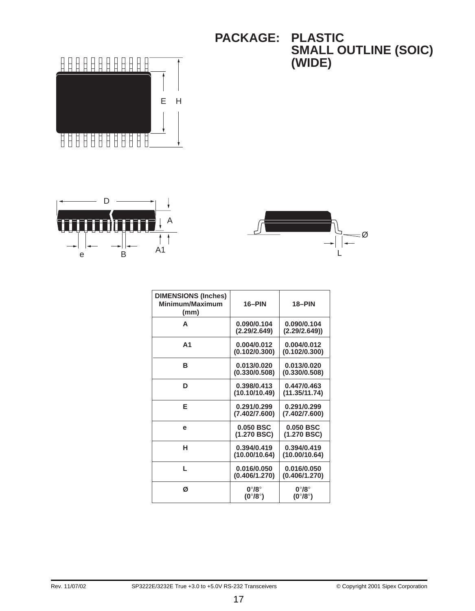**PACKAGE: PLASTIC SMALL OUTLINE (SOIC) (WIDE)**







| <b>DIMENSIONS (Inches)</b><br>Minimum/Maximum<br>(mm) | 16-PIN                                           | 18-PIN                                           |
|-------------------------------------------------------|--------------------------------------------------|--------------------------------------------------|
| A                                                     | 0.090/0.104<br>(2.29/2.649)                      | 0.090/0.104<br>(2.29/2.649)                      |
| А1                                                    | 0.004/0.012<br>(0.102/0.300)                     | 0.004/0.012<br>(0.102/0.300)                     |
| в                                                     | 0.013/0.020<br>(0.330/0.508)                     | 0.013/0.020<br>(0.330/0.508)                     |
| D                                                     | 0.398/0.413<br>(10.10/10.49)                     | 0.447/0.463<br>(11.35/11.74)                     |
| Е                                                     | 0.291/0.299<br>(7.402/7.600)                     | 0.291/0.299<br>(7.402/7.600)                     |
| е                                                     | $0.050$ BSC<br>(1.270 BSC)                       | $0.050$ BSC<br>(1.270 BSC)                       |
| н                                                     | 0.394/0.419<br>(10.00/10.64)                     | 0.394/0.419<br>(10.00/10.64)                     |
| L.                                                    | 0.016/0.050<br>(0.406/1.270)                     | 0.016/0.050<br>(0.406/1.270)                     |
| Ø                                                     | $0^{\circ}/8^{\circ}$<br>$(0^{\circ}/8^{\circ})$ | $0^{\circ}/8^{\circ}$<br>$(0^{\circ}/8^{\circ})$ |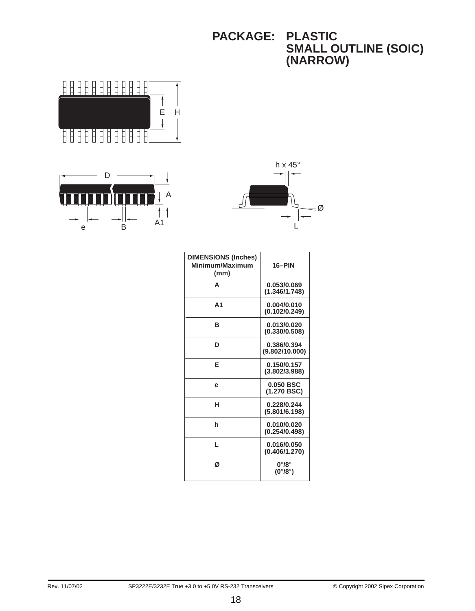### **PACKAGE: PLASTIC SMALL OUTLINE (SOIC) (NARROW)**







| <b>DIMENSIONS (Inches)</b><br>Minimum/Maximum<br>(mm) | 16-PIN                                                 |
|-------------------------------------------------------|--------------------------------------------------------|
| A                                                     | 0.053/0.069<br>(1.346/1.748)                           |
| A <sub>1</sub>                                        | 0.004/0.010<br>(0.102/0.249)                           |
| в                                                     | 0.013/0.020<br>(0.330/0.508)                           |
| D                                                     | 0.386/0.394<br>(9.802/10.000)                          |
| F                                                     | 0.150/0.157<br>(3.802/3.988)                           |
| е                                                     | $0.050$ BSC<br>(1.270 BSC)                             |
| н                                                     | 0.228/0.244<br>(5.801/6.198)                           |
| h                                                     | 0.010/0.020<br>(0.254/0.498)                           |
| L                                                     | 0.016/0.050<br>(0.406/1.270)                           |
| ø                                                     | $0^{\circ}/8^{\circ}$<br>(0 $^{\circ}$ /8 $^{\circ}$ ) |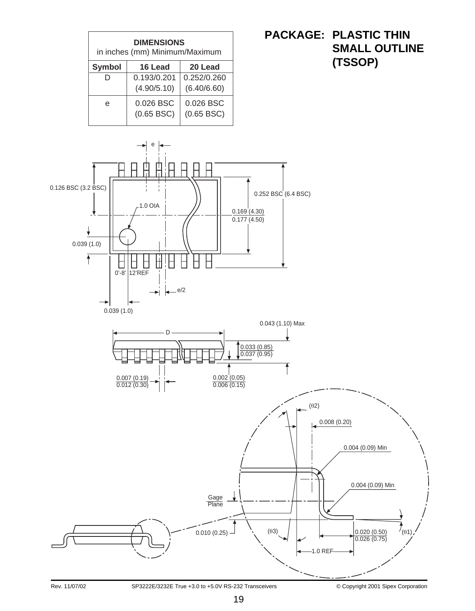

## **PACKAGE: PLASTIC THIN SMALL OUTLINE (TSSOP)**